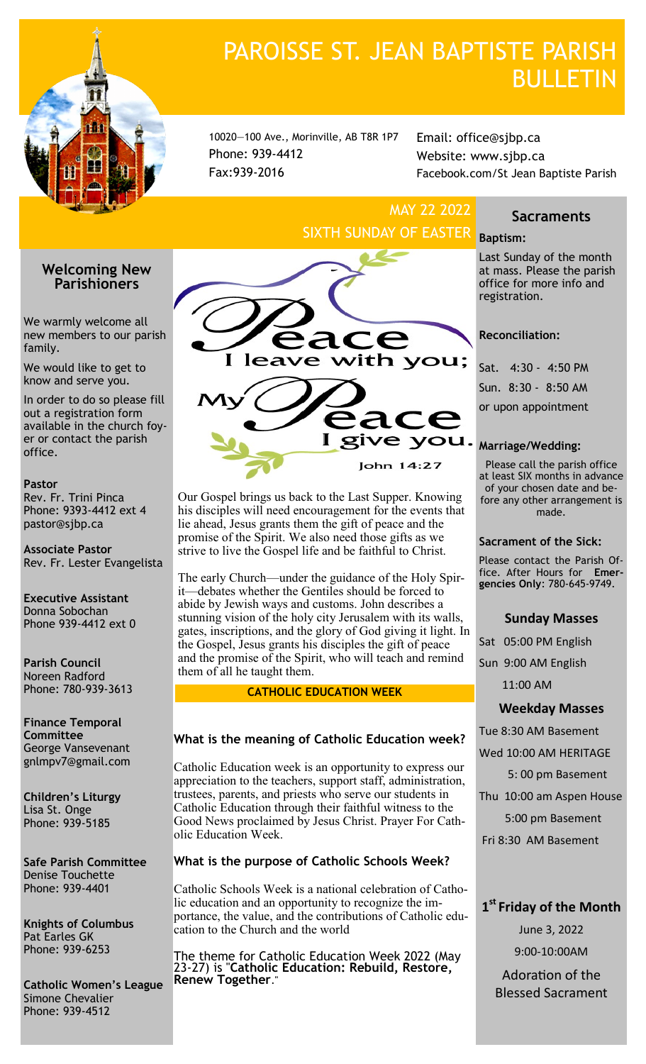

# PAROISSE ST. JEAN BAPTISTE PARISH **BULLETIN**

10020—100 Ave., Morinville, AB T8R 1P7 Phone: 939-4412 Fax:939-2016

Email: office@sjbp.ca Website: www.sjbp.ca Facebook.com/St Jean Baptiste Parish

# MAY 22 2022 SIXTH SUNDAY OF EASTER **Baptism:**

# **Welcoming New Parishioners**

We warmly welcome all new members to our parish family.

We would like to get to know and serve you.

In order to do so please fill out a registration form available in the church foyer or contact the parish office.

### **Pastor**

Rev. Fr. Trini Pinca Phone: 9393-4412 ext 4 pastor@sjbp.ca

**Associate Pastor** Rev. Fr. Lester Evangelista

**Executive Assistant** Donna Sobochan Phone 939-4412 ext 0

**Parish Council** Noreen Radford Phone: 780-939-3613

**Finance Temporal Committee** George Vansevenant gnlmpv7@gmail.com

**Children's Liturgy** Lisa St. Onge Phone: 939-5185

**Safe Parish Committee** Denise Touchette Phone: 939-4401

**Knights of Columbus** Pat Earles GK Phone: 939-6253

**Catholic Women's League** Simone Chevalier Phone: 939-4512



Our Gospel brings us back to the Last Supper. Knowing his disciples will need encouragement for the events that lie ahead, Jesus grants them the gift of peace and the promise of the Spirit. We also need those gifts as we strive to live the Gospel life and be faithful to Christ.

The early Church—under the guidance of the Holy Spirit—debates whether the Gentiles should be forced to abide by Jewish ways and customs. John describes a stunning vision of the holy city Jerusalem with its walls, gates, inscriptions, and the glory of God giving it light. In the Gospel, Jesus grants his disciples the gift of peace and the promise of the Spirit, who will teach and remind them of all he taught them.

# **CATHOLIC EDUCATION WEEK**

# **What is the meaning of Catholic Education week?**

Catholic Education week is an opportunity to express our appreciation to the teachers, support staff, administration, trustees, parents, and priests who serve our students in Catholic Education through their faithful witness to the Good News proclaimed by Jesus Christ. Prayer For Catholic Education Week.

# **What is the purpose of Catholic Schools Week?**

Catholic Schools Week is a national celebration of Catholic education and an opportunity to recognize the importance, the value, and the contributions of Catholic education to the Church and the world

The theme for Catholic Education Week 2022 (May 23-27) is "**Catholic Education: Rebuild, Restore, Renew Together**."

# **Sacraments**

Last Sunday of the month at mass. Please the parish office for more info and registration.

# **Reconciliation:**

Sat. 4:30 - 4:50 PM Sun. 8:30 - 8:50 AM or upon appointment

Please call the parish office at least SIX months in advance of your chosen date and before any other arrangement is made.

# **Sacrament of the Sick:**

Please contact the Parish Office. After Hours for **Emergencies Only**: 780-645-9749.

# **Sunday Masses**

Sat 05:00 PM English

Sun 9:00 AM English

11:00 AM

# **Weekday Masses**

Tue 8:30 AM Basement

Wed 10:00 AM HERITAGE

5: 00 pm Basement

Thu 10:00 am Aspen House

5:00 pm Basement

Fri 8:30 AM Basement

# **1 st Friday of the Month**

June 3, 2022

9:00-10:00AM

Adoration of the Blessed Sacrament